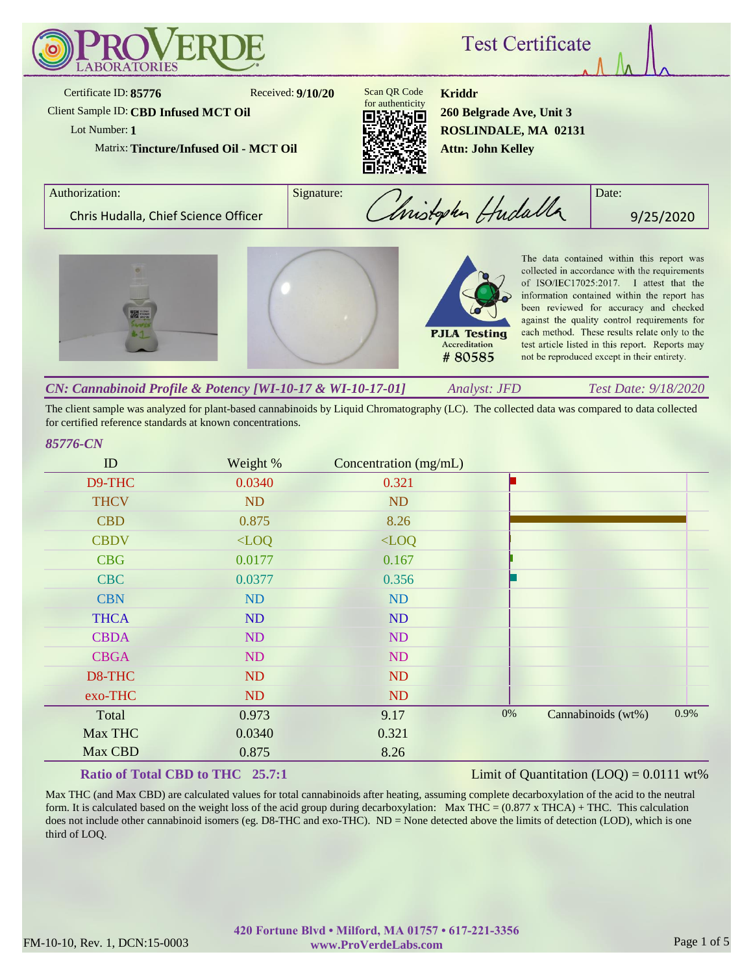

The client sample was analyzed for plant-based cannabinoids by Liquid Chromatography (LC). The collected data was compared to data collected for certified reference standards at known concentrations.

#### *85776-CN*

| ID          | Weight % | Concentration (mg/mL) |       |                    |      |
|-------------|----------|-----------------------|-------|--------------------|------|
| D9-THC      | 0.0340   | 0.321                 |       |                    |      |
| <b>THCV</b> | ND       | <b>ND</b>             |       |                    |      |
| <b>CBD</b>  | 0.875    | 8.26                  |       |                    |      |
| <b>CBDV</b> | $<$ LOQ  | $<$ LOQ               |       |                    |      |
| <b>CBG</b>  | 0.0177   | 0.167                 |       |                    |      |
| <b>CBC</b>  | 0.0377   | 0.356                 |       |                    |      |
| <b>CBN</b>  | ND       | <b>ND</b>             |       |                    |      |
| <b>THCA</b> | ND       | <b>ND</b>             |       |                    |      |
| <b>CBDA</b> | ND       | ND                    |       |                    |      |
| <b>CBGA</b> | ND       | ND                    |       |                    |      |
| D8-THC      | ND       | <b>ND</b>             |       |                    |      |
| exo-THC     | ND       | <b>ND</b>             |       |                    |      |
| Total       | 0.973    | 9.17                  | $0\%$ | Cannabinoids (wt%) | 0.9% |
| Max THC     | 0.0340   | 0.321                 |       |                    |      |
| Max CBD     | 0.875    | 8.26                  |       |                    |      |

### **Ratio of Total CBD to THC 25.7:1**

# Limit of Quantitation  $(LOQ) = 0.0111$  wt%

Max THC (and Max CBD) are calculated values for total cannabinoids after heating, assuming complete decarboxylation of the acid to the neutral form. It is calculated based on the weight loss of the acid group during decarboxylation: Max THC =  $(0.877 \times THCA) + THC$ . This calculation does not include other cannabinoid isomers (eg. D8-THC and exo-THC). ND = None detected above the limits of detection (LOD), which is one third of LOQ.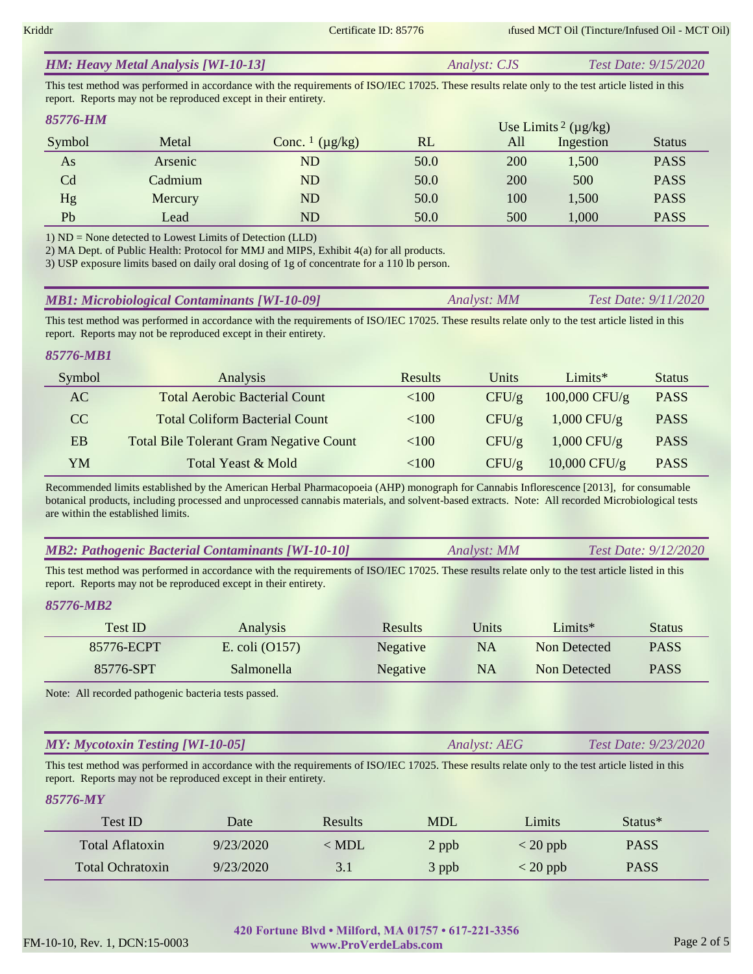| <b>HM: Heavy Metal Analysis [WI-10-13]</b> | <i>Analyst: CJS</i> | <i>Test Date: 9/15/2020</i> |
|--------------------------------------------|---------------------|-----------------------------|
|                                            |                     |                             |

This test method was performed in accordance with the requirements of ISO/IEC 17025. These results relate only to the test article listed in this report. Reports may not be reproduced except in their entirety.

| 85776-HM |         |                                     |      |     | Use Limits <sup>2</sup> ( $\mu$ g/kg) |               |
|----------|---------|-------------------------------------|------|-----|---------------------------------------|---------------|
| Symbol   | Metal   | Conc. $\frac{1}{\mu}$ ( $\mu$ g/kg) | RL   | All | Ingestion                             | <b>Status</b> |
| As       | Arsenic | ${\rm ND}$                          | 50.0 | 200 | 1,500                                 | <b>PASS</b>   |
| Cd       | Cadmium | ND                                  | 50.0 | 200 | 500                                   | <b>PASS</b>   |
| Hg       | Mercury | ND                                  | 50.0 | 100 | 1,500                                 | <b>PASS</b>   |
| Pb       | Lead    | ${\rm ND}$                          | 50.0 | 500 | 1,000                                 | <b>PASS</b>   |

1) ND = None detected to Lowest Limits of Detection (LLD)

2) MA Dept. of Public Health: Protocol for MMJ and MIPS, Exhibit 4(a) for all products.

3) USP exposure limits based on daily oral dosing of 1g of concentrate for a 110 lb person.

| <b>MB1: Microbiological Contaminants [WI-10-09]</b> | Analyst: MM | <i>Test Date: 9/11/2020</i> |
|-----------------------------------------------------|-------------|-----------------------------|
|-----------------------------------------------------|-------------|-----------------------------|

This test method was performed in accordance with the requirements of ISO/IEC 17025. These results relate only to the test article listed in this report. Reports may not be reproduced except in their entirety.

#### *85776-MB1*

| Symbol | Analysis                                       | <b>Results</b> | Units | Limit           | <b>Status</b> |
|--------|------------------------------------------------|----------------|-------|-----------------|---------------|
| AC     | <b>Total Aerobic Bacterial Count</b>           | ${<}100$       | CFU/g | $100,000$ CFU/g | <b>PASS</b>   |
| CC.    | <b>Total Coliform Bacterial Count</b>          | ${<}100$       | CFU/g | $1,000$ CFU/g   | <b>PASS</b>   |
| EB     | <b>Total Bile Tolerant Gram Negative Count</b> | ${<}100$       | CFU/g | $1,000$ CFU/g   | <b>PASS</b>   |
| YM     | Total Yeast & Mold                             | <100           | CFU/g | $10,000$ CFU/g  | <b>PASS</b>   |

Recommended limits established by the American Herbal Pharmacopoeia (AHP) monograph for Cannabis Inflorescence [2013], for consumable botanical products, including processed and unprocessed cannabis materials, and solvent-based extracts. Note: All recorded Microbiological tests are within the established limits.

|  | <b>MB2: Pathogenic Bacterial Contaminants [WI-10-10]</b> | Analyst: MM | Test Date: 9/12/2020 |
|--|----------------------------------------------------------|-------------|----------------------|
|--|----------------------------------------------------------|-------------|----------------------|

This test method was performed in accordance with the requirements of ISO/IEC 17025. These results relate only to the test article listed in this report. Reports may not be reproduced except in their entirety.

## *85776-MB2*

| Test ID    | Analysis         | Results  | Jnits     | Limits $*$   | <b>Status</b> |
|------------|------------------|----------|-----------|--------------|---------------|
| 85776-ECPT | E. coli $(0157)$ | Negative | NA        | Non Detected | <b>PASS</b>   |
| 85776-SPT  | Salmonella       | Negative | <b>NA</b> | Non Detected | <b>PASS</b>   |

Note: All recorded pathogenic bacteria tests passed.

#### *Analyst: AEG Test Date: 9/23/2020 MY: Mycotoxin Testing [WI-10-05]*

This test method was performed in accordance with the requirements of ISO/IEC 17025. These results relate only to the test article listed in this report. Reports may not be reproduced except in their entirety.

# *85776-MY*

| Test ID                 | Date      | Results       | <b>MDL</b> | Limits                           | Status <sup>*</sup> |  |
|-------------------------|-----------|---------------|------------|----------------------------------|---------------------|--|
| Total Aflatoxin         | 9/23/2020 | $\langle$ MDL | 2 ppb      | $\langle 20 \text{ ppb} \rangle$ | <b>PASS</b>         |  |
| <b>Total Ochratoxin</b> | 9/23/2020 | 3.1           | 3 ppb      | $<$ 20 ppb                       | <b>PASS</b>         |  |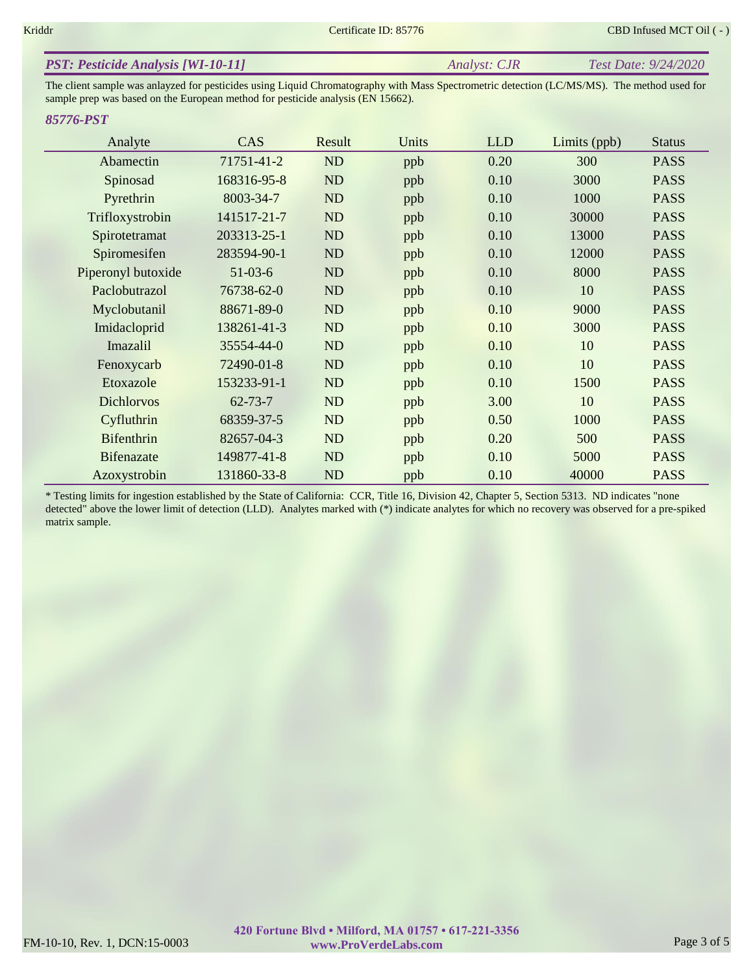| <b>PST: Pesticide Analysis [WI-10-11]</b> | Analyst: CJR | Test Date: 9/24/2020 |
|-------------------------------------------|--------------|----------------------|
|-------------------------------------------|--------------|----------------------|

The client sample was anlayzed for pesticides using Liquid Chromatography with Mass Spectrometric detection (LC/MS/MS). The method used for sample prep was based on the European method for pesticide analysis (EN 15662).

#### *85776-PST*

| Analyte            | <b>CAS</b>    | Result    | Units | <b>LLD</b> | Limits (ppb) | <b>Status</b> |
|--------------------|---------------|-----------|-------|------------|--------------|---------------|
| Abamectin          | 71751-41-2    | ND        | ppb   | 0.20       | 300          | <b>PASS</b>   |
| Spinosad           | 168316-95-8   | ND        | ppb   | 0.10       | 3000         | <b>PASS</b>   |
| Pyrethrin          | 8003-34-7     | ND        | ppb   | 0.10       | 1000         | <b>PASS</b>   |
| Trifloxystrobin    | 141517-21-7   | ND        | ppb   | 0.10       | 30000        | <b>PASS</b>   |
| Spirotetramat      | 203313-25-1   | ND        | ppb   | 0.10       | 13000        | <b>PASS</b>   |
| Spiromesifen       | 283594-90-1   | <b>ND</b> | ppb   | 0.10       | 12000        | <b>PASS</b>   |
| Piperonyl butoxide | $51-03-6$     | ND        | ppb   | 0.10       | 8000         | <b>PASS</b>   |
| Paclobutrazol      | 76738-62-0    | <b>ND</b> | ppb   | 0.10       | 10           | <b>PASS</b>   |
| Myclobutanil       | 88671-89-0    | ND        | ppb   | 0.10       | 9000         | <b>PASS</b>   |
| Imidacloprid       | 138261-41-3   | ND        | ppb   | 0.10       | 3000         | <b>PASS</b>   |
| Imazalil           | 35554-44-0    | ND        | ppb   | 0.10       | 10           | <b>PASS</b>   |
| Fenoxycarb         | 72490-01-8    | <b>ND</b> | ppb   | 0.10       | 10           | <b>PASS</b>   |
| Etoxazole          | 153233-91-1   | <b>ND</b> | ppb   | 0.10       | 1500         | <b>PASS</b>   |
| <b>Dichlorvos</b>  | $62 - 73 - 7$ | ND        | ppb   | 3.00       | 10           | <b>PASS</b>   |
| Cyfluthrin         | 68359-37-5    | ND        | ppb   | 0.50       | 1000         | <b>PASS</b>   |
| <b>Bifenthrin</b>  | 82657-04-3    | ND        | ppb   | 0.20       | 500          | <b>PASS</b>   |
| <b>Bifenazate</b>  | 149877-41-8   | ND        | ppb   | 0.10       | 5000         | <b>PASS</b>   |
| Azoxystrobin       | 131860-33-8   | <b>ND</b> | ppb   | 0.10       | 40000        | <b>PASS</b>   |

\* Testing limits for ingestion established by the State of California: CCR, Title 16, Division 42, Chapter 5, Section 5313. ND indicates "none detected" above the lower limit of detection (LLD). Analytes marked with (\*) indicate analytes for which no recovery was observed for a pre-spiked matrix sample.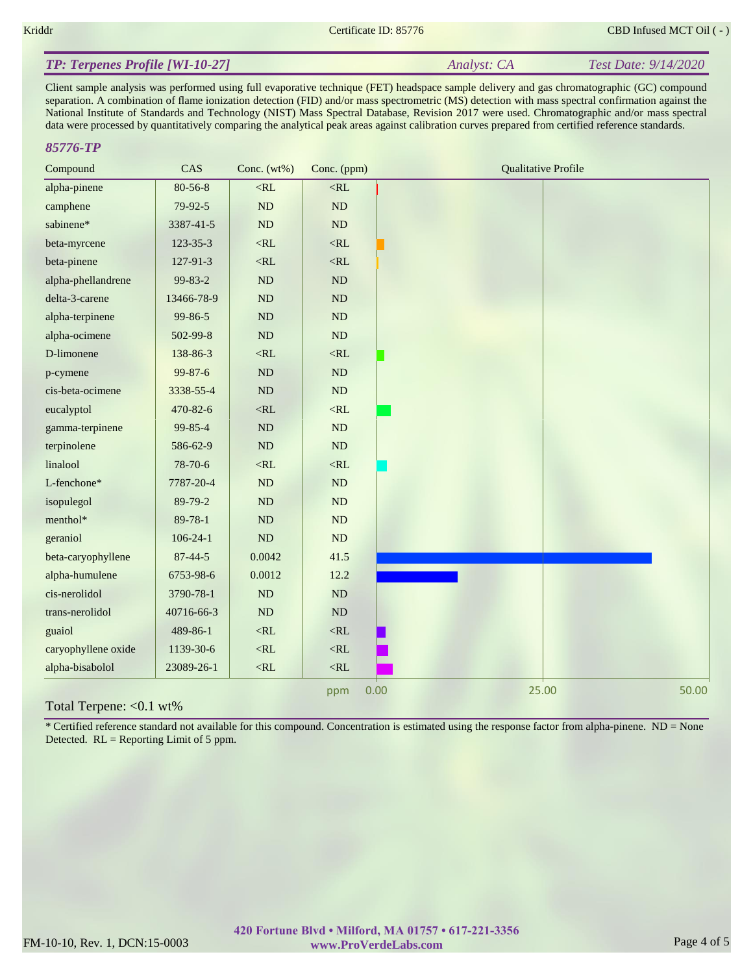*Analyst: CA Test Date: 9/14/2020*

# *TP: Terpenes Profile [WI-10-27]*

Client sample analysis was performed using full evaporative technique (FET) headspace sample delivery and gas chromatographic (GC) compound separation. A combination of flame ionization detection (FID) and/or mass spectrometric (MS) detection with mass spectral confirmation against the National Institute of Standards and Technology (NIST) Mass Spectral Database, Revision 2017 were used. Chromatographic and/or mass spectral data were processed by quantitatively comparing the analytical peak areas against calibration curves prepared from certified reference standards.

### *85776-TP*

| Compound            | CAS                   | Conc. $(wt\%)$ | Conc. (ppm)   | <b>Qualitative Profile</b> |
|---------------------|-----------------------|----------------|---------------|----------------------------|
| alpha-pinene        | 80-56-8               | $<$ RL         | $<\!\!RL$     |                            |
| camphene            | $79-92-5$             | $\rm ND$       | $\rm ND$      |                            |
| sabinene*           | 3387-41-5             | ND             | ND            |                            |
| beta-myrcene        | 123-35-3              | $<$ RL         | $<$ RL        |                            |
| beta-pinene         | 127-91-3              | $<$ RL         | $<\!\!RL$     |                            |
| alpha-phellandrene  | 99-83-2               | $\rm ND$       | $\rm ND$      |                            |
| delta-3-carene      | 13466-78-9            | $\rm ND$       | ND            |                            |
| alpha-terpinene     | 99-86-5               | ND             | ND            |                            |
| alpha-ocimene       | 502-99-8              | $\rm ND$       | $\rm ND$      |                            |
| D-limonene          | 138-86-3              | $<\!\!RL$      | $<\!\!RL$     |                            |
| p-cymene            | $99 - 87 - 6$         | ND             | $\rm ND$      |                            |
| cis-beta-ocimene    | 3338-55-4             | $\rm ND$       | ND            |                            |
| eucalyptol          | 470-82-6              | $<\!\!RL$      | $<\!\!RL$     |                            |
| gamma-terpinene     | 99-85-4               | $\rm ND$       | ND            |                            |
| terpinolene         | 586-62-9              | $\rm ND$       | ND            |                            |
| linalool            | 78-70-6               | $<$ RL         | $<\!\!RL$     |                            |
| L-fenchone*         | 7787-20-4             | $\rm ND$       | $\rm ND$      |                            |
| isopulegol          | 89-79-2               | ND             | ND            |                            |
| menthol*            | 89-78-1               | ND             | ND            |                            |
| geraniol            | $106 - 24 - 1$        | $\rm ND$       | $\mathbf{ND}$ |                            |
| beta-caryophyllene  | $87 - 44 - 5$         | 0.0042         | 41.5          |                            |
| alpha-humulene      | 6753-98-6             | 0.0012         | 12.2          |                            |
| cis-nerolidol       | 3790-78-1             | $\rm ND$       | $\rm ND$      |                            |
| trans-nerolidol     | 40716-66-3            | ND             | ND            |                            |
| guaiol              | 489-86-1              | $<$ RL         | $<$ RL        |                            |
| caryophyllene oxide | 1139-30-6             | $<$ RL         | $<$ RL        |                            |
| alpha-bisabolol     | 23089-26-1            | $<\!\!RL$      | $<$ RL        |                            |
| $\sqrt{1}$          | $\Lambda$ 1 $\Lambda$ |                | ppm           | 0.00<br>25.00<br>50.00     |

#### Total Terpene: <0.1 wt%

\* Certified reference standard not available for this compound. Concentration is estimated using the response factor from alpha-pinene. ND = None Detected. RL = Reporting Limit of 5 ppm.